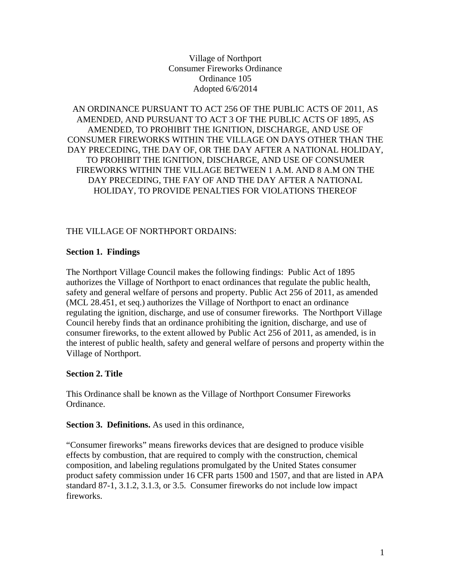Village of Northport Consumer Fireworks Ordinance Ordinance 105 Adopted 6/6/2014

AN ORDINANCE PURSUANT TO ACT 256 OF THE PUBLIC ACTS OF 2011, AS AMENDED, AND PURSUANT TO ACT 3 OF THE PUBLIC ACTS OF 1895, AS AMENDED, TO PROHIBIT THE IGNITION, DISCHARGE, AND USE OF CONSUMER FIREWORKS WITHIN THE VILLAGE ON DAYS OTHER THAN THE DAY PRECEDING, THE DAY OF, OR THE DAY AFTER A NATIONAL HOLIDAY, TO PROHIBIT THE IGNITION, DISCHARGE, AND USE OF CONSUMER FIREWORKS WITHIN THE VILLAGE BETWEEN 1 A.M. AND 8 A.M ON THE DAY PRECEDING, THE FAY OF AND THE DAY AFTER A NATIONAL HOLIDAY, TO PROVIDE PENALTIES FOR VIOLATIONS THEREOF

#### THE VILLAGE OF NORTHPORT ORDAINS:

#### **Section 1. Findings**

The Northport Village Council makes the following findings: Public Act of 1895 authorizes the Village of Northport to enact ordinances that regulate the public health, safety and general welfare of persons and property. Public Act 256 of 2011, as amended (MCL 28.451, et seq.) authorizes the Village of Northport to enact an ordinance regulating the ignition, discharge, and use of consumer fireworks. The Northport Village Council hereby finds that an ordinance prohibiting the ignition, discharge, and use of consumer fireworks, to the extent allowed by Public Act 256 of 2011, as amended, is in the interest of public health, safety and general welfare of persons and property within the Village of Northport.

#### **Section 2. Title**

This Ordinance shall be known as the Village of Northport Consumer Fireworks Ordinance.

**Section 3. Definitions.** As used in this ordinance,

"Consumer fireworks" means fireworks devices that are designed to produce visible effects by combustion, that are required to comply with the construction, chemical composition, and labeling regulations promulgated by the United States consumer product safety commission under 16 CFR parts 1500 and 1507, and that are listed in APA standard 87-1, 3.1.2, 3.1.3, or 3.5. Consumer fireworks do not include low impact fireworks.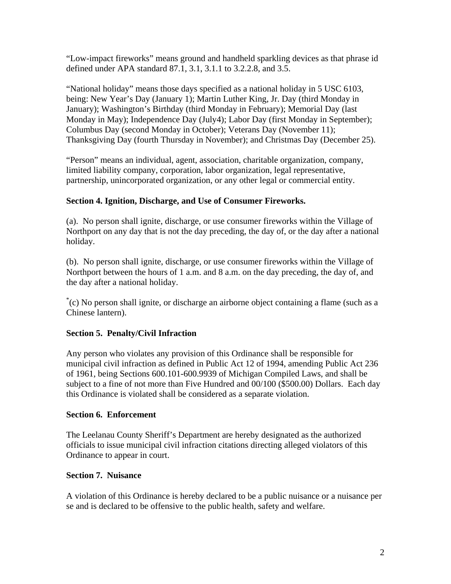"Low-impact fireworks" means ground and handheld sparkling devices as that phrase id defined under APA standard 87.1, 3.1, 3.1.1 to 3.2.2.8, and 3.5.

"National holiday" means those days specified as a national holiday in 5 USC 6103, being: New Year's Day (January 1); Martin Luther King, Jr. Day (third Monday in January); Washington's Birthday (third Monday in February); Memorial Day (last Monday in May); Independence Day (July4); Labor Day (first Monday in September); Columbus Day (second Monday in October); Veterans Day (November 11); Thanksgiving Day (fourth Thursday in November); and Christmas Day (December 25).

"Person" means an individual, agent, association, charitable organization, company, limited liability company, corporation, labor organization, legal representative, partnership, unincorporated organization, or any other legal or commercial entity.

# **Section 4. Ignition, Discharge, and Use of Consumer Fireworks.**

(a). No person shall ignite, discharge, or use consumer fireworks within the Village of Northport on any day that is not the day preceding, the day of, or the day after a national holiday.

(b). No person shall ignite, discharge, or use consumer fireworks within the Village of Northport between the hours of 1 a.m. and 8 a.m. on the day preceding, the day of, and the day after a national holiday.

\* (c) No person shall ignite, or discharge an airborne object containing a flame (such as a Chinese lantern).

## **Section 5. Penalty/Civil Infraction**

Any person who violates any provision of this Ordinance shall be responsible for municipal civil infraction as defined in Public Act 12 of 1994, amending Public Act 236 of 1961, being Sections 600.101-600.9939 of Michigan Compiled Laws, and shall be subject to a fine of not more than Five Hundred and 00/100 (\$500.00) Dollars. Each day this Ordinance is violated shall be considered as a separate violation.

## **Section 6. Enforcement**

The Leelanau County Sheriff's Department are hereby designated as the authorized officials to issue municipal civil infraction citations directing alleged violators of this Ordinance to appear in court.

## **Section 7. Nuisance**

A violation of this Ordinance is hereby declared to be a public nuisance or a nuisance per se and is declared to be offensive to the public health, safety and welfare.